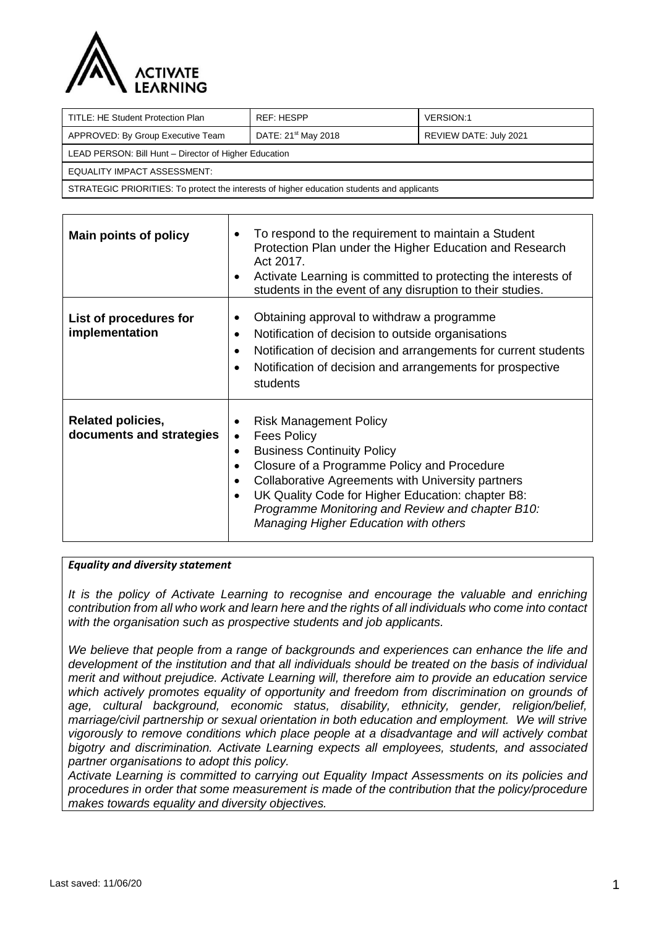

| TITLE: HE Student Protection Plan                                                          | REF: HESPP                      | <b>VERSION:1</b>       |  |  |
|--------------------------------------------------------------------------------------------|---------------------------------|------------------------|--|--|
| APPROVED: By Group Executive Team                                                          | DATE: 21 <sup>st</sup> May 2018 | REVIEW DATE: July 2021 |  |  |
| LEAD PERSON: Bill Hunt - Director of Higher Education                                      |                                 |                        |  |  |
| EQUALITY IMPACT ASSESSMENT:                                                                |                                 |                        |  |  |
| STRATEGIC PRIORITIES: To protect the interests of higher education students and applicants |                                 |                        |  |  |

| <b>Main points of policy</b>                         | To respond to the requirement to maintain a Student<br>Protection Plan under the Higher Education and Research<br>Act 2017.<br>Activate Learning is committed to protecting the interests of<br>$\bullet$<br>students in the event of any disruption to their studies.                                                                                                                             |
|------------------------------------------------------|----------------------------------------------------------------------------------------------------------------------------------------------------------------------------------------------------------------------------------------------------------------------------------------------------------------------------------------------------------------------------------------------------|
| List of procedures for<br>implementation             | Obtaining approval to withdraw a programme<br>$\bullet$<br>Notification of decision to outside organisations<br>$\bullet$<br>Notification of decision and arrangements for current students<br>$\bullet$<br>Notification of decision and arrangements for prospective<br>$\bullet$<br>students                                                                                                     |
| <b>Related policies,</b><br>documents and strategies | <b>Risk Management Policy</b><br><b>Fees Policy</b><br>$\bullet$<br><b>Business Continuity Policy</b><br>$\bullet$<br>Closure of a Programme Policy and Procedure<br>Collaborative Agreements with University partners<br>$\bullet$<br>UK Quality Code for Higher Education: chapter B8:<br>$\bullet$<br>Programme Monitoring and Review and chapter B10:<br>Managing Higher Education with others |

#### *Equality and diversity statement*

It is the policy of Activate Learning to recognise and encourage the valuable and enriching *contribution from all who work and learn here and the rights of all individuals who come into contact with the organisation such as prospective students and job applicants.* 

*We believe that people from a range of backgrounds and experiences can enhance the life and development of the institution and that all individuals should be treated on the basis of individual merit and without prejudice. Activate Learning will, therefore aim to provide an education service which actively promotes equality of opportunity and freedom from discrimination on grounds of age, cultural background, economic status, disability, ethnicity, gender, religion/belief, marriage/civil partnership or sexual orientation in both education and employment. We will strive vigorously to remove conditions which place people at a disadvantage and will actively combat bigotry and discrimination. Activate Learning expects all employees, students, and associated partner organisations to adopt this policy.*

*Activate Learning is committed to carrying out Equality Impact Assessments on its policies and procedures in order that some measurement is made of the contribution that the policy/procedure makes towards equality and diversity objectives.*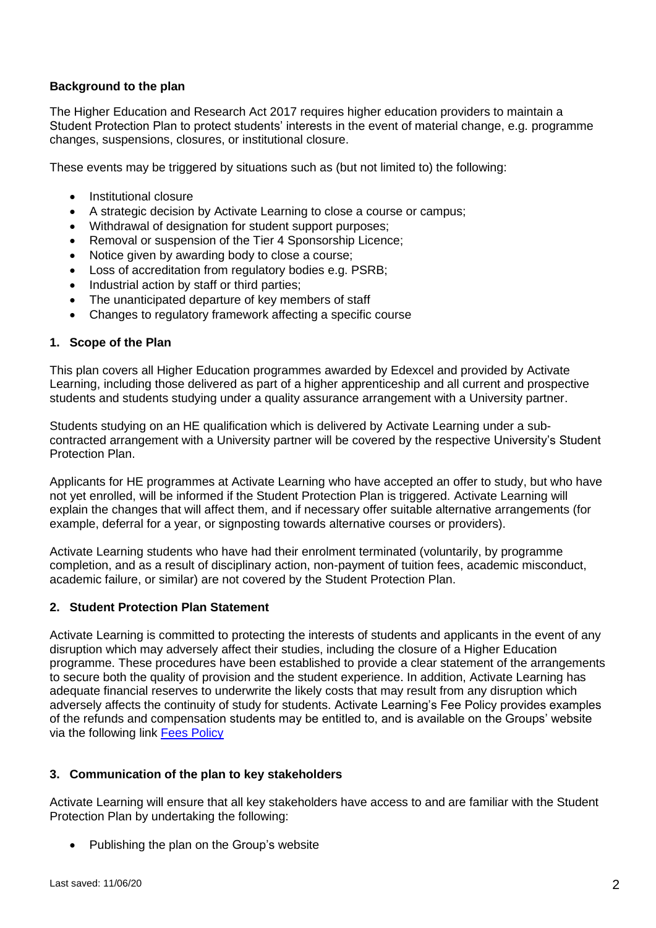### **Background to the plan**

The Higher Education and Research Act 2017 requires higher education providers to maintain a Student Protection Plan to protect students' interests in the event of material change, e.g. programme changes, suspensions, closures, or institutional closure.

These events may be triggered by situations such as (but not limited to) the following:

- Institutional closure
- A strategic decision by Activate Learning to close a course or campus;
- Withdrawal of designation for student support purposes;
- Removal or suspension of the Tier 4 Sponsorship Licence;
- Notice given by awarding body to close a course;
- Loss of accreditation from regulatory bodies e.g. PSRB;
- Industrial action by staff or third parties;
- The unanticipated departure of key members of staff
- Changes to regulatory framework affecting a specific course

#### **1. Scope of the Plan**

This plan covers all Higher Education programmes awarded by Edexcel and provided by Activate Learning, including those delivered as part of a higher apprenticeship and all current and prospective students and students studying under a quality assurance arrangement with a University partner.

Students studying on an HE qualification which is delivered by Activate Learning under a subcontracted arrangement with a University partner will be covered by the respective University's Student Protection Plan.

Applicants for HE programmes at Activate Learning who have accepted an offer to study, but who have not yet enrolled, will be informed if the Student Protection Plan is triggered. Activate Learning will explain the changes that will affect them, and if necessary offer suitable alternative arrangements (for example, deferral for a year, or signposting towards alternative courses or providers).

Activate Learning students who have had their enrolment terminated (voluntarily, by programme completion, and as a result of disciplinary action, non-payment of tuition fees, academic misconduct, academic failure, or similar) are not covered by the Student Protection Plan.

#### **2. Student Protection Plan Statement**

Activate Learning is committed to protecting the interests of students and applicants in the event of any disruption which may adversely affect their studies, including the closure of a Higher Education programme. These procedures have been established to provide a clear statement of the arrangements to secure both the quality of provision and the student experience. In addition, Activate Learning has adequate financial reserves to underwrite the likely costs that may result from any disruption which adversely affects the continuity of study for students. Activate Learning's Fee Policy provides examples of the refunds and compensation students may be entitled to, and is available on the Groups' website via the following link [Fees Policy](https://www.activatelearning.ac.uk/ActivateLearning/media/Root/Documents/Governance/Fees-Policy.pdf)

#### **3. Communication of the plan to key stakeholders**

Activate Learning will ensure that all key stakeholders have access to and are familiar with the Student Protection Plan by undertaking the following:

• Publishing the plan on the Group's website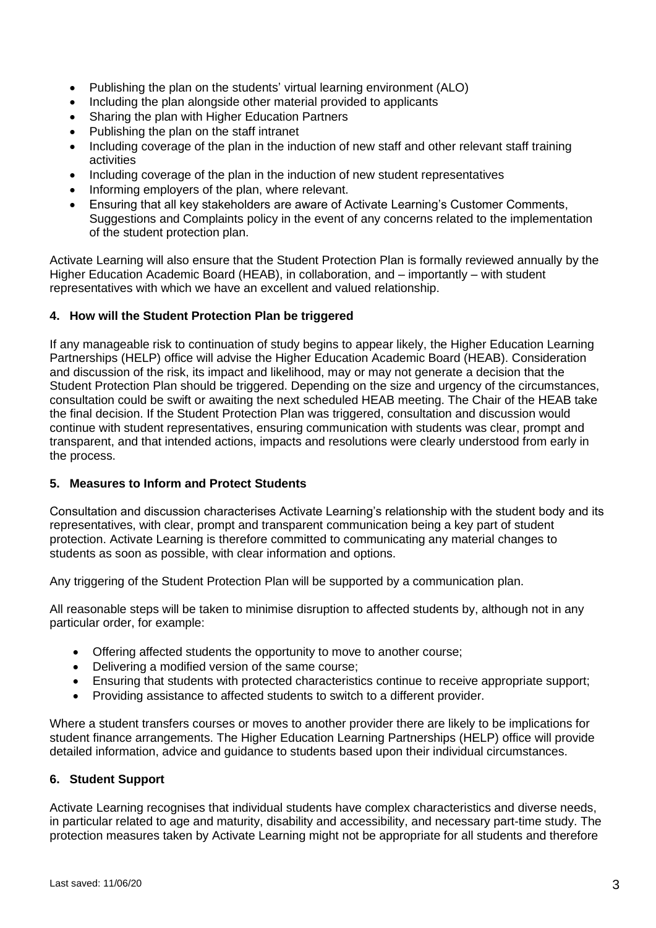- Publishing the plan on the students' virtual learning environment (ALO)
- Including the plan alongside other material provided to applicants
- Sharing the plan with Higher Education Partners
- Publishing the plan on the staff intranet
- Including coverage of the plan in the induction of new staff and other relevant staff training activities
- Including coverage of the plan in the induction of new student representatives
- Informing employers of the plan, where relevant.
- Ensuring that all key stakeholders are aware of Activate Learning's Customer Comments, Suggestions and Complaints policy in the event of any concerns related to the implementation of the student protection plan.

Activate Learning will also ensure that the Student Protection Plan is formally reviewed annually by the Higher Education Academic Board (HEAB), in collaboration, and – importantly – with student representatives with which we have an excellent and valued relationship.

### **4. How will the Student Protection Plan be triggered**

If any manageable risk to continuation of study begins to appear likely, the Higher Education Learning Partnerships (HELP) office will advise the Higher Education Academic Board (HEAB). Consideration and discussion of the risk, its impact and likelihood, may or may not generate a decision that the Student Protection Plan should be triggered. Depending on the size and urgency of the circumstances, consultation could be swift or awaiting the next scheduled HEAB meeting. The Chair of the HEAB take the final decision. If the Student Protection Plan was triggered, consultation and discussion would continue with student representatives, ensuring communication with students was clear, prompt and transparent, and that intended actions, impacts and resolutions were clearly understood from early in the process.

#### **5. Measures to Inform and Protect Students**

Consultation and discussion characterises Activate Learning's relationship with the student body and its representatives, with clear, prompt and transparent communication being a key part of student protection. Activate Learning is therefore committed to communicating any material changes to students as soon as possible, with clear information and options.

Any triggering of the Student Protection Plan will be supported by a communication plan.

All reasonable steps will be taken to minimise disruption to affected students by, although not in any particular order, for example:

- Offering affected students the opportunity to move to another course;
- Delivering a modified version of the same course;
- Ensuring that students with protected characteristics continue to receive appropriate support;
- Providing assistance to affected students to switch to a different provider.

Where a student transfers courses or moves to another provider there are likely to be implications for student finance arrangements. The Higher Education Learning Partnerships (HELP) office will provide detailed information, advice and guidance to students based upon their individual circumstances.

#### **6. Student Support**

Activate Learning recognises that individual students have complex characteristics and diverse needs, in particular related to age and maturity, disability and accessibility, and necessary part-time study. The protection measures taken by Activate Learning might not be appropriate for all students and therefore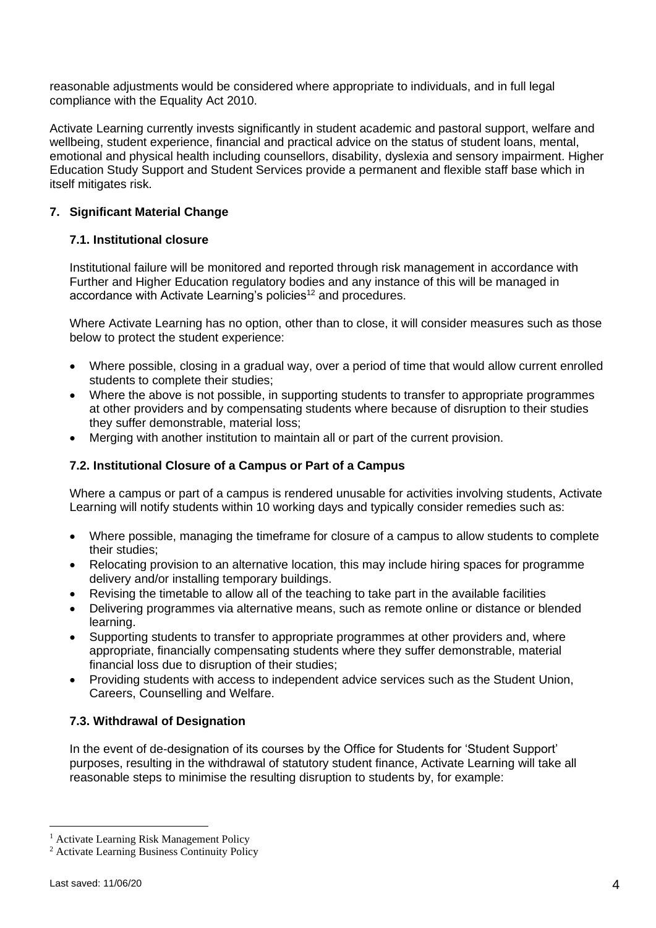reasonable adjustments would be considered where appropriate to individuals, and in full legal compliance with the Equality Act 2010.

Activate Learning currently invests significantly in student academic and pastoral support, welfare and wellbeing, student experience, financial and practical advice on the status of student loans, mental, emotional and physical health including counsellors, disability, dyslexia and sensory impairment. Higher Education Study Support and Student Services provide a permanent and flexible staff base which in itself mitigates risk.

### **7. Significant Material Change**

#### **7.1. Institutional closure**

Institutional failure will be monitored and reported through risk management in accordance with Further and Higher Education regulatory bodies and any instance of this will be managed in accordance with Activate Learning's policies<sup>12</sup> and procedures.

Where Activate Learning has no option, other than to close, it will consider measures such as those below to protect the student experience:

- Where possible, closing in a gradual way, over a period of time that would allow current enrolled students to complete their studies;
- Where the above is not possible, in supporting students to transfer to appropriate programmes at other providers and by compensating students where because of disruption to their studies they suffer demonstrable, material loss;
- Merging with another institution to maintain all or part of the current provision.

### **7.2. Institutional Closure of a Campus or Part of a Campus**

Where a campus or part of a campus is rendered unusable for activities involving students, Activate Learning will notify students within 10 working days and typically consider remedies such as:

- Where possible, managing the timeframe for closure of a campus to allow students to complete their studies;
- Relocating provision to an alternative location, this may include hiring spaces for programme delivery and/or installing temporary buildings.
- Revising the timetable to allow all of the teaching to take part in the available facilities
- Delivering programmes via alternative means, such as remote online or distance or blended learning.
- Supporting students to transfer to appropriate programmes at other providers and, where appropriate, financially compensating students where they suffer demonstrable, material financial loss due to disruption of their studies;
- Providing students with access to independent advice services such as the Student Union, Careers, Counselling and Welfare.

### **7.3. Withdrawal of Designation**

In the event of de-designation of its courses by the Office for Students for 'Student Support' purposes, resulting in the withdrawal of statutory student finance, Activate Learning will take all reasonable steps to minimise the resulting disruption to students by, for example:

<sup>1</sup> Activate Learning Risk Management Policy

<sup>2</sup> Activate Learning Business Continuity Policy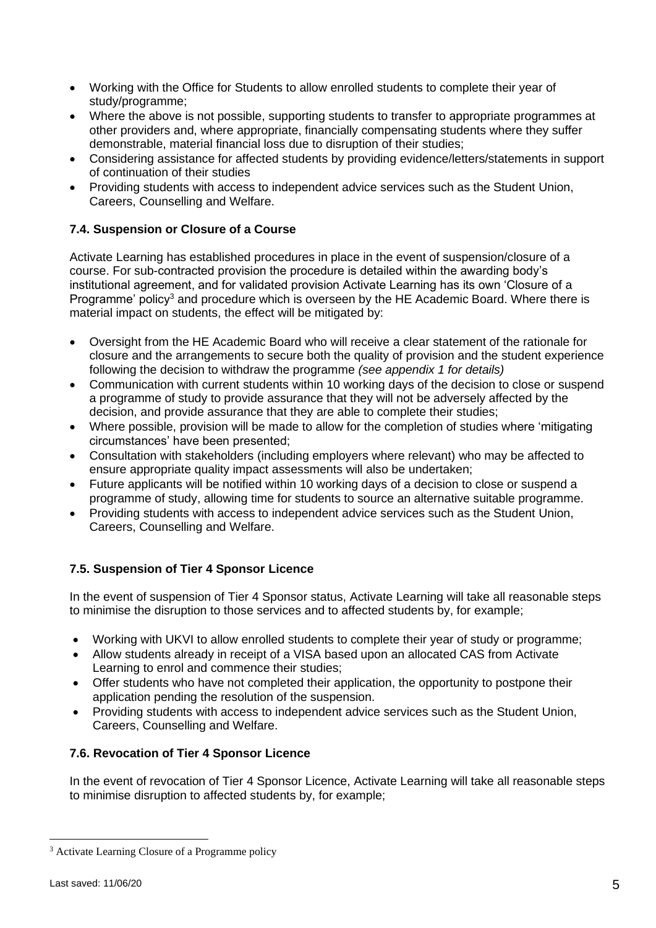- Working with the Office for Students to allow enrolled students to complete their year of study/programme;
- Where the above is not possible, supporting students to transfer to appropriate programmes at other providers and, where appropriate, financially compensating students where they suffer demonstrable, material financial loss due to disruption of their studies;
- Considering assistance for affected students by providing evidence/letters/statements in support of continuation of their studies
- Providing students with access to independent advice services such as the Student Union, Careers, Counselling and Welfare.

## **7.4. Suspension or Closure of a Course**

Activate Learning has established procedures in place in the event of suspension/closure of a course. For sub-contracted provision the procedure is detailed within the awarding body's institutional agreement, and for validated provision Activate Learning has its own 'Closure of a Programme' policy<sup>3</sup> and procedure which is overseen by the HE Academic Board. Where there is material impact on students, the effect will be mitigated by:

- Oversight from the HE Academic Board who will receive a clear statement of the rationale for closure and the arrangements to secure both the quality of provision and the student experience following the decision to withdraw the programme *(see appendix 1 for details)*
- Communication with current students within 10 working days of the decision to close or suspend a programme of study to provide assurance that they will not be adversely affected by the decision, and provide assurance that they are able to complete their studies;
- Where possible, provision will be made to allow for the completion of studies where 'mitigating circumstances' have been presented;
- Consultation with stakeholders (including employers where relevant) who may be affected to ensure appropriate quality impact assessments will also be undertaken;
- Future applicants will be notified within 10 working days of a decision to close or suspend a programme of study, allowing time for students to source an alternative suitable programme.
- Providing students with access to independent advice services such as the Student Union, Careers, Counselling and Welfare.

## **7.5. Suspension of Tier 4 Sponsor Licence**

In the event of suspension of Tier 4 Sponsor status, Activate Learning will take all reasonable steps to minimise the disruption to those services and to affected students by, for example;

- Working with UKVI to allow enrolled students to complete their year of study or programme;
- Allow students already in receipt of a VISA based upon an allocated CAS from Activate Learning to enrol and commence their studies;
- Offer students who have not completed their application, the opportunity to postpone their application pending the resolution of the suspension.
- Providing students with access to independent advice services such as the Student Union, Careers, Counselling and Welfare.

### **7.6. Revocation of Tier 4 Sponsor Licence**

In the event of revocation of Tier 4 Sponsor Licence, Activate Learning will take all reasonable steps to minimise disruption to affected students by, for example;

<sup>3</sup> Activate Learning Closure of a Programme policy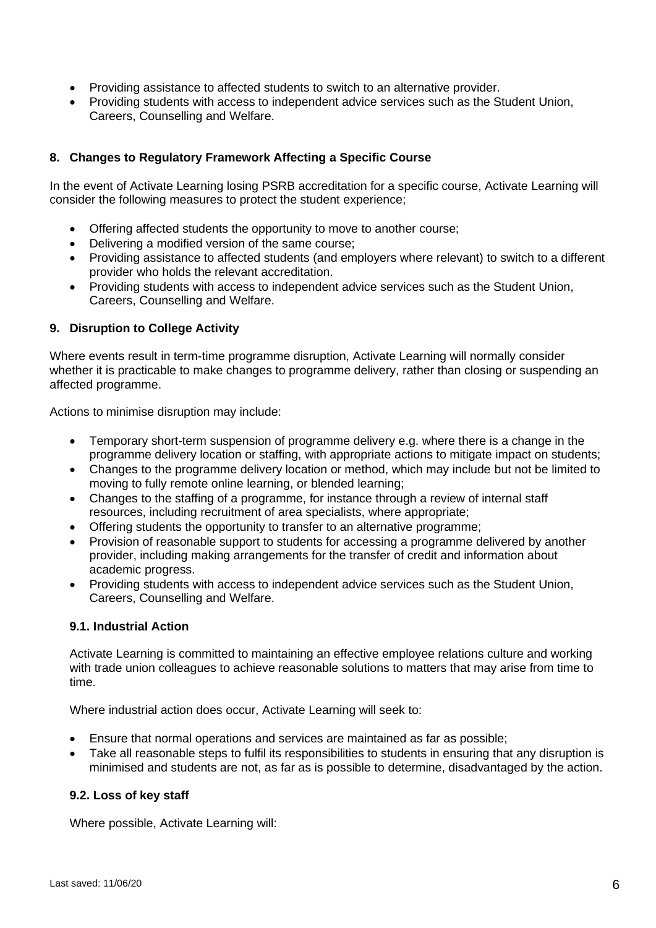- Providing assistance to affected students to switch to an alternative provider.
- Providing students with access to independent advice services such as the Student Union, Careers, Counselling and Welfare.

### **8. Changes to Regulatory Framework Affecting a Specific Course**

In the event of Activate Learning losing PSRB accreditation for a specific course, Activate Learning will consider the following measures to protect the student experience;

- Offering affected students the opportunity to move to another course;
- Delivering a modified version of the same course;
- Providing assistance to affected students (and employers where relevant) to switch to a different provider who holds the relevant accreditation.
- Providing students with access to independent advice services such as the Student Union, Careers, Counselling and Welfare.

#### **9. Disruption to College Activity**

Where events result in term-time programme disruption, Activate Learning will normally consider whether it is practicable to make changes to programme delivery, rather than closing or suspending an affected programme.

Actions to minimise disruption may include:

- Temporary short-term suspension of programme delivery e.g. where there is a change in the programme delivery location or staffing, with appropriate actions to mitigate impact on students;
- Changes to the programme delivery location or method, which may include but not be limited to moving to fully remote online learning, or blended learning;
- Changes to the staffing of a programme, for instance through a review of internal staff resources, including recruitment of area specialists, where appropriate;
- Offering students the opportunity to transfer to an alternative programme;
- Provision of reasonable support to students for accessing a programme delivered by another provider, including making arrangements for the transfer of credit and information about academic progress.
- Providing students with access to independent advice services such as the Student Union, Careers, Counselling and Welfare.

#### **9.1. Industrial Action**

Activate Learning is committed to maintaining an effective employee relations culture and working with trade union colleagues to achieve reasonable solutions to matters that may arise from time to time.

Where industrial action does occur, Activate Learning will seek to:

- Ensure that normal operations and services are maintained as far as possible;
- Take all reasonable steps to fulfil its responsibilities to students in ensuring that any disruption is minimised and students are not, as far as is possible to determine, disadvantaged by the action.

#### **9.2. Loss of key staff**

Where possible, Activate Learning will: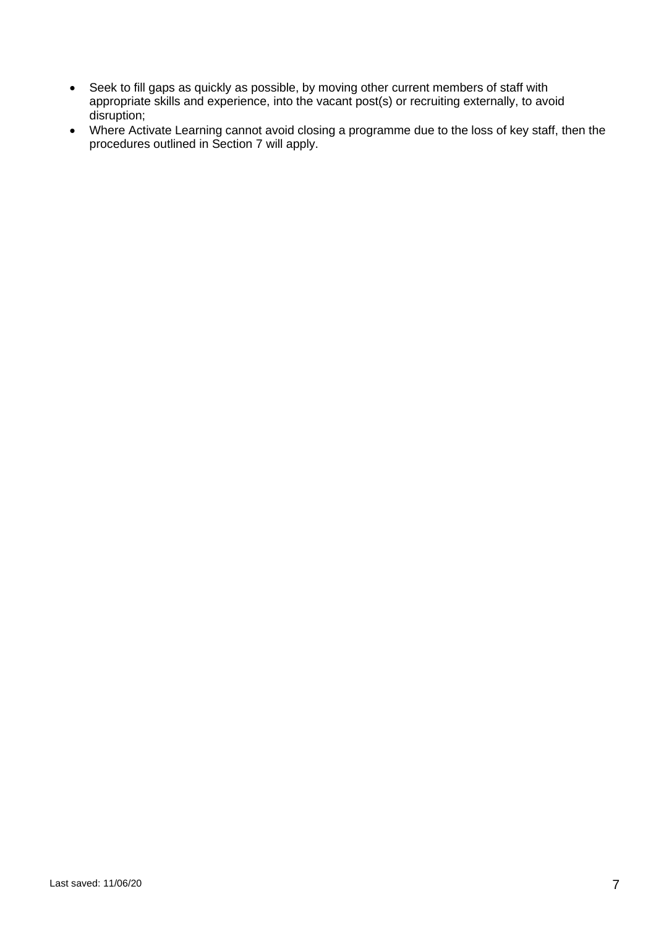- Seek to fill gaps as quickly as possible, by moving other current members of staff with appropriate skills and experience, into the vacant post(s) or recruiting externally, to avoid disruption;
- Where Activate Learning cannot avoid closing a programme due to the loss of key staff, then the procedures outlined in Section 7 will apply.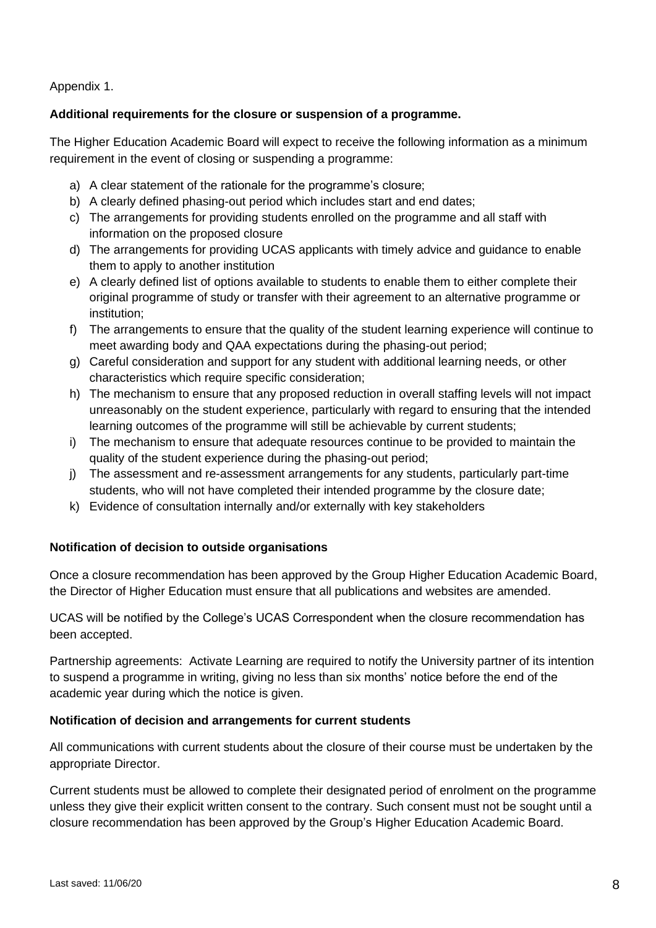Appendix 1.

### **Additional requirements for the closure or suspension of a programme.**

The Higher Education Academic Board will expect to receive the following information as a minimum requirement in the event of closing or suspending a programme:

- a) A clear statement of the rationale for the programme's closure;
- b) A clearly defined phasing-out period which includes start and end dates;
- c) The arrangements for providing students enrolled on the programme and all staff with information on the proposed closure
- d) The arrangements for providing UCAS applicants with timely advice and guidance to enable them to apply to another institution
- e) A clearly defined list of options available to students to enable them to either complete their original programme of study or transfer with their agreement to an alternative programme or institution;
- f) The arrangements to ensure that the quality of the student learning experience will continue to meet awarding body and QAA expectations during the phasing-out period;
- g) Careful consideration and support for any student with additional learning needs, or other characteristics which require specific consideration;
- h) The mechanism to ensure that any proposed reduction in overall staffing levels will not impact unreasonably on the student experience, particularly with regard to ensuring that the intended learning outcomes of the programme will still be achievable by current students;
- i) The mechanism to ensure that adequate resources continue to be provided to maintain the quality of the student experience during the phasing-out period;
- j) The assessment and re-assessment arrangements for any students, particularly part-time students, who will not have completed their intended programme by the closure date;
- k) Evidence of consultation internally and/or externally with key stakeholders

### **Notification of decision to outside organisations**

Once a closure recommendation has been approved by the Group Higher Education Academic Board, the Director of Higher Education must ensure that all publications and websites are amended.

## UCAS will be notified by the College's UCAS Correspondent when the closure recommendation has been accepted.

Partnership agreements: Activate Learning are required to notify the University partner of its intention to suspend a programme in writing, giving no less than six months' notice before the end of the academic year during which the notice is given.

### **Notification of decision and arrangements for current students**

All communications with current students about the closure of their course must be undertaken by the appropriate Director.

Current students must be allowed to complete their designated period of enrolment on the programme unless they give their explicit written consent to the contrary. Such consent must not be sought until a closure recommendation has been approved by the Group's Higher Education Academic Board.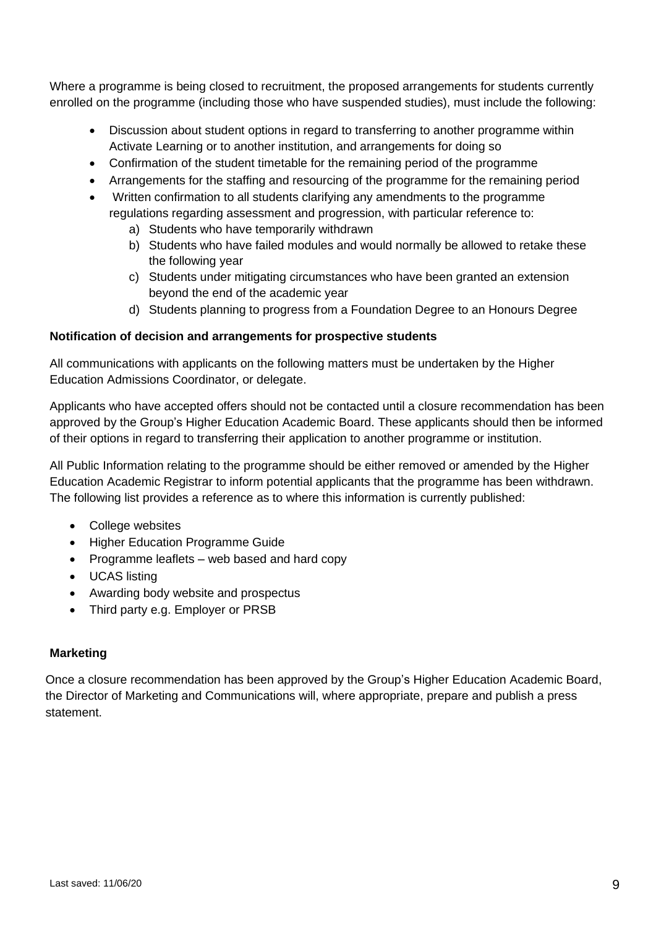Where a programme is being closed to recruitment, the proposed arrangements for students currently enrolled on the programme (including those who have suspended studies), must include the following:

- Discussion about student options in regard to transferring to another programme within Activate Learning or to another institution, and arrangements for doing so
- Confirmation of the student timetable for the remaining period of the programme
- Arrangements for the staffing and resourcing of the programme for the remaining period
- Written confirmation to all students clarifying any amendments to the programme regulations regarding assessment and progression, with particular reference to:
	- a) Students who have temporarily withdrawn
	- b) Students who have failed modules and would normally be allowed to retake these the following year
	- c) Students under mitigating circumstances who have been granted an extension beyond the end of the academic year
	- d) Students planning to progress from a Foundation Degree to an Honours Degree

### **Notification of decision and arrangements for prospective students**

All communications with applicants on the following matters must be undertaken by the Higher Education Admissions Coordinator, or delegate.

Applicants who have accepted offers should not be contacted until a closure recommendation has been approved by the Group's Higher Education Academic Board. These applicants should then be informed of their options in regard to transferring their application to another programme or institution.

All Public Information relating to the programme should be either removed or amended by the Higher Education Academic Registrar to inform potential applicants that the programme has been withdrawn. The following list provides a reference as to where this information is currently published:

- College websites
- Higher Education Programme Guide
- Programme leaflets web based and hard copy
- UCAS listing
- Awarding body website and prospectus
- Third party e.g. Employer or PRSB

### **Marketing**

Once a closure recommendation has been approved by the Group's Higher Education Academic Board, the Director of Marketing and Communications will, where appropriate, prepare and publish a press statement.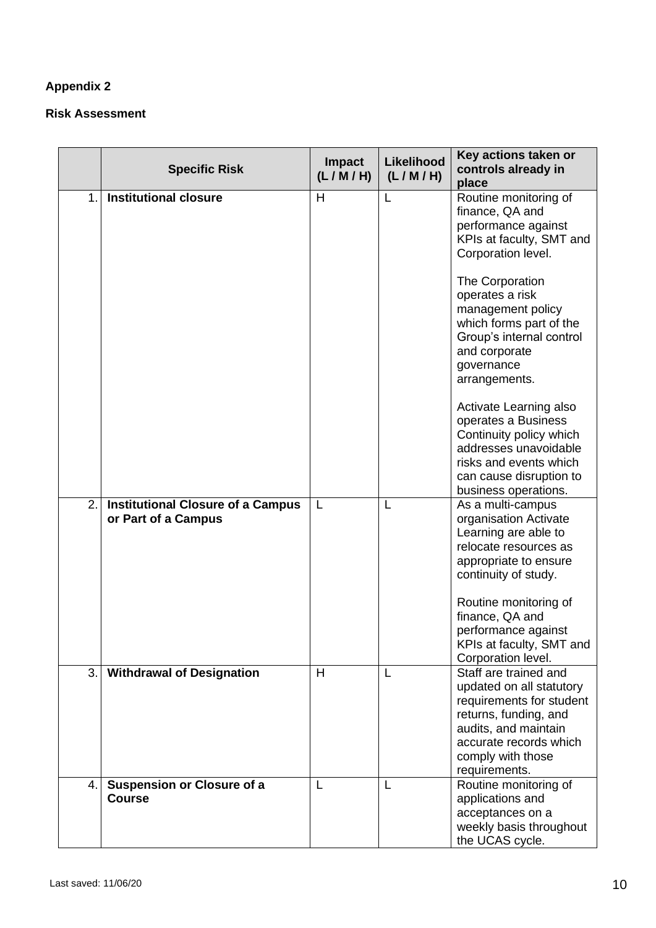# **Appendix 2**

### **Risk Assessment**

|               | <b>Specific Risk</b>                                            | <b>Impact</b><br>(L/M/H) | <b>Likelihood</b><br>(L/M/H) | Key actions taken or<br>controls already in<br>place                                                                                                                                           |
|---------------|-----------------------------------------------------------------|--------------------------|------------------------------|------------------------------------------------------------------------------------------------------------------------------------------------------------------------------------------------|
| $\mathbf 1$ . | <b>Institutional closure</b>                                    | H                        | L                            | Routine monitoring of<br>finance, QA and<br>performance against<br>KPIs at faculty, SMT and<br>Corporation level.                                                                              |
|               |                                                                 |                          |                              | The Corporation<br>operates a risk<br>management policy<br>which forms part of the<br>Group's internal control<br>and corporate<br>governance<br>arrangements.                                 |
|               |                                                                 |                          |                              | Activate Learning also<br>operates a Business<br>Continuity policy which<br>addresses unavoidable<br>risks and events which<br>can cause disruption to<br>business operations.                 |
| 2.            | <b>Institutional Closure of a Campus</b><br>or Part of a Campus | L                        | L                            | As a multi-campus<br>organisation Activate<br>Learning are able to<br>relocate resources as<br>appropriate to ensure<br>continuity of study.                                                   |
|               |                                                                 |                          |                              | Routine monitoring of<br>finance, QA and<br>performance against<br>KPIs at faculty, SMT and<br>Corporation level.                                                                              |
| 3.1           | <b>Withdrawal of Designation</b>                                | H                        | L                            | Staff are trained and<br>updated on all statutory<br>requirements for student<br>returns, funding, and<br>audits, and maintain<br>accurate records which<br>comply with those<br>requirements. |
| 4.            | <b>Suspension or Closure of a</b><br><b>Course</b>              | L                        | L                            | Routine monitoring of<br>applications and<br>acceptances on a<br>weekly basis throughout<br>the UCAS cycle.                                                                                    |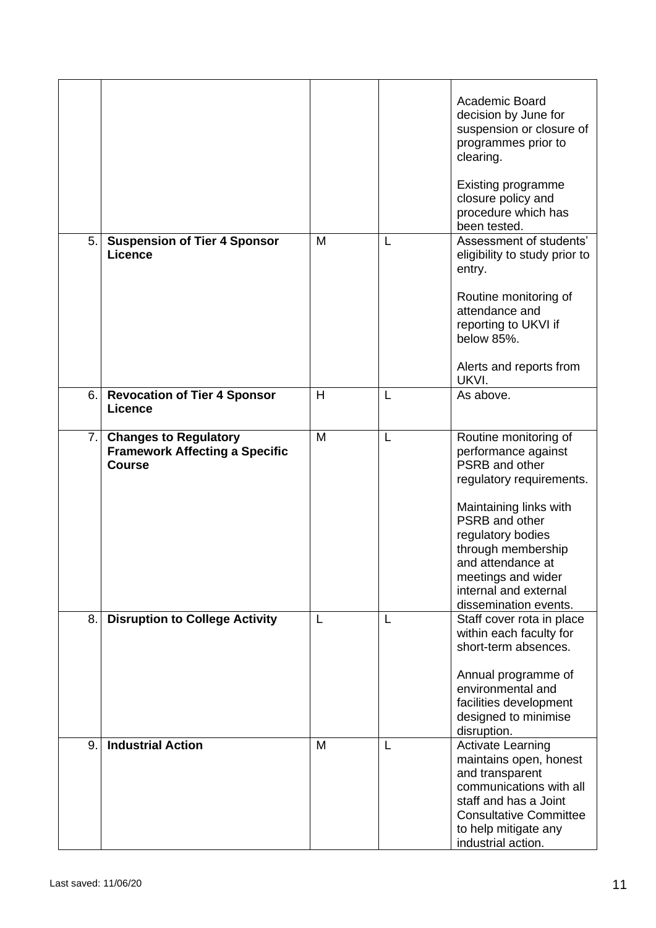|    |                                                                                        |   |   | Academic Board<br>decision by June for<br>suspension or closure of<br>programmes prior to<br>clearing.<br><b>Existing programme</b><br>closure policy and<br>procedure which has<br>been tested.                                                                               |
|----|----------------------------------------------------------------------------------------|---|---|--------------------------------------------------------------------------------------------------------------------------------------------------------------------------------------------------------------------------------------------------------------------------------|
| 5. | <b>Suspension of Tier 4 Sponsor</b><br>Licence                                         | M | L | Assessment of students'<br>eligibility to study prior to<br>entry.<br>Routine monitoring of<br>attendance and<br>reporting to UKVI if<br>below 85%.<br>Alerts and reports from<br>UKVI.                                                                                        |
| 6. | <b>Revocation of Tier 4 Sponsor</b><br><b>Licence</b>                                  | H | L | As above.                                                                                                                                                                                                                                                                      |
| 7. | <b>Changes to Regulatory</b><br><b>Framework Affecting a Specific</b><br><b>Course</b> | M | L | Routine monitoring of<br>performance against<br>PSRB and other<br>regulatory requirements.<br>Maintaining links with<br>PSRB and other<br>regulatory bodies<br>through membership<br>and attendance at<br>meetings and wider<br>internal and external<br>dissemination events. |
| 8. | <b>Disruption to College Activity</b>                                                  | L | L | Staff cover rota in place<br>within each faculty for<br>short-term absences.<br>Annual programme of<br>environmental and<br>facilities development<br>designed to minimise<br>disruption.                                                                                      |
| 9. | <b>Industrial Action</b>                                                               | M | L | <b>Activate Learning</b><br>maintains open, honest<br>and transparent<br>communications with all<br>staff and has a Joint<br><b>Consultative Committee</b><br>to help mitigate any<br>industrial action.                                                                       |